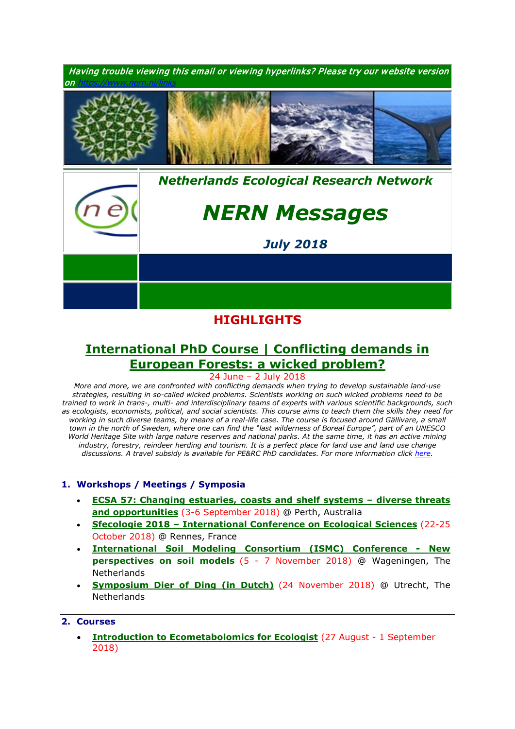

## **HIGHLIGHTS**

# **[International PhD Course | Conflicting demands in](https://www.pe-rc.nl/european-forestry)  [European Forests: a wicked problem?](https://www.pe-rc.nl/european-forestry)**

24 June – 2 July 2018

*More and more, we are confronted with conflicting demands when trying to develop sustainable land-use strategies, resulting in so-called wicked problems. Scientists working on such wicked problems need to be trained to work in trans-, multi- and interdisciplinary teams of experts with various scientific backgrounds, such as ecologists, economists, political, and social scientists. This course aims to teach them the skills they need for*  working in such diverse teams, by means of a real-life case. The course is focused around Gällivare, a small *town in the north of Sweden, where one can find the "last wilderness of Boreal Europe", part of an UNESCO World Heritage Site with large nature reserves and national parks. At the same time, it has an active mining*  industry, forestry, reindeer herding and tourism. It is a perfect place for land use and land use change *discussions. A travel subsidy is available for PE&RC PhD candidates. For more information click [here.](https://www.pe-rc.nl/european-forestry)*

#### **1. Workshops / Meetings / Symposia**

- **[ECSA 57: Changing estuaries, coasts and shelf systems –](http://www.estuarinecoastalconference.com/) diverse threats [and opportunities](http://www.estuarinecoastalconference.com/)** (3-6 September 2018) @ Perth, Australia
- **Sfecologie 2018 – [International Conference on Ecological Sciences](https://sfecologie2018.sciencesconf.org/)** (22-25 October 2018) @ Rennes, France
- **[International Soil Modeling Consortium \(ISMC\) Conference -](https://www.nern.nl/sites/default/files/ISMC_conference_announcement_2018.pdf) New [perspectives on soil models](https://www.nern.nl/sites/default/files/ISMC_conference_announcement_2018.pdf)** (5 - 7 November 2018) @ Wageningen, The **Netherlands**
- **[Symposium Dier of Ding \(in Dutch\)](https://www.nern.nl/sites/default/files/Symposium%20Dier%20of%20Ding.pdf)** (24 November 2018) @ Utrecht, The **Netherlands**

### **2. Courses**

• **[Introduction to Ecometabolomics for](https://www.nern.nl/sites/default/files/Invitation%20-%20Introduction%20to%20Ecometabolomics.pdf) Ecologist** (27 August - 1 September 2018)